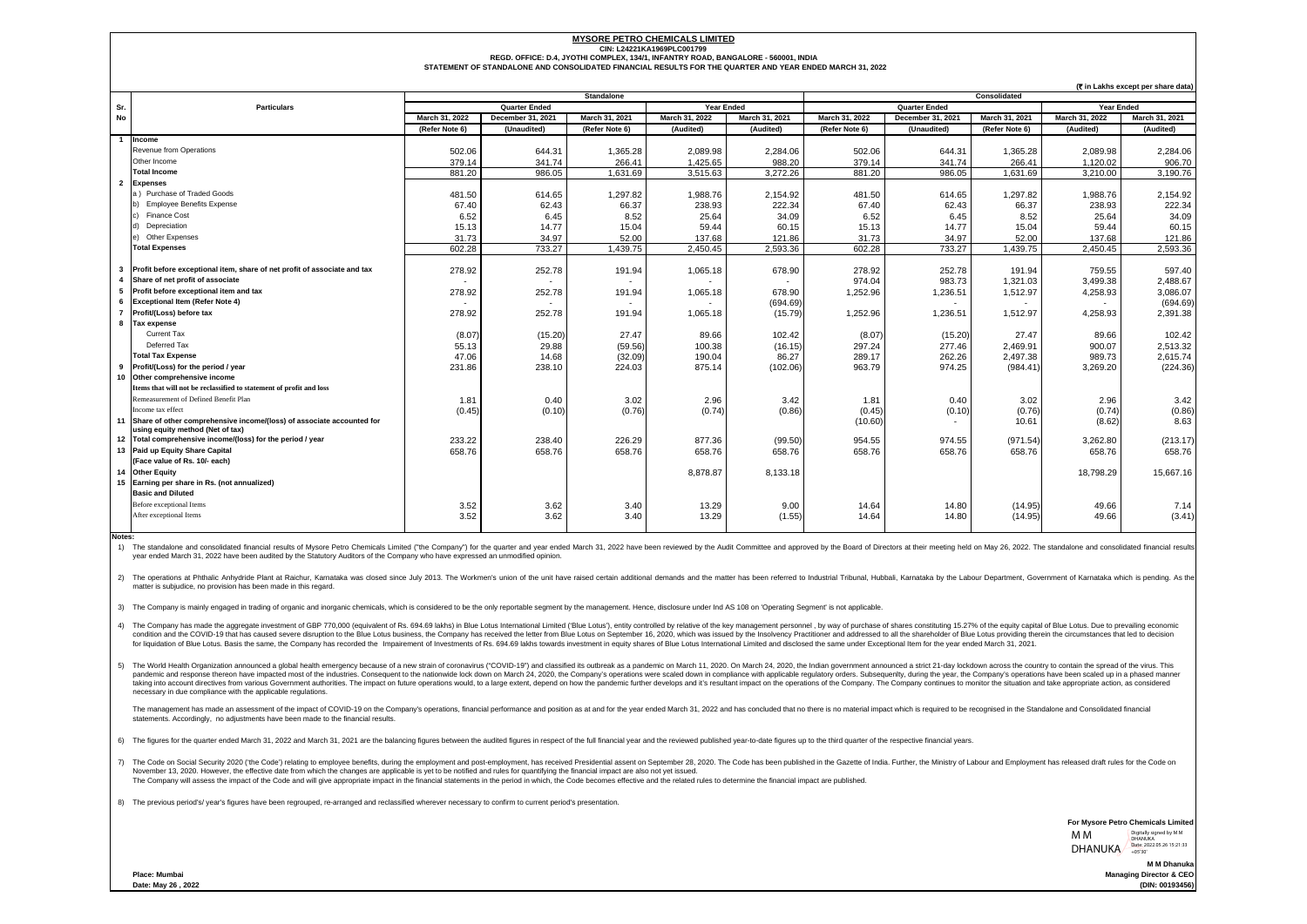## **MYSORE PETRO CHEMICALS LIMITED**

**CIN: L24221KA1969PLC001799**

**REGD. OFFICE: D.4, JYOTHI COMPLEX, 134/1, INFANTRY ROAD, BANGALORE - 560001, INDIA**

**STATEMENT OF STANDALONE AND CONSOLIDATED FINANCIAL RESULTS FOR THE QUARTER AND YEAR ENDED MARCH 31, 2022**

|                |                                                                                                              | <b>Standalone</b>    |                          |                |                   |                | Consolidated         |                   |                |                   |                |
|----------------|--------------------------------------------------------------------------------------------------------------|----------------------|--------------------------|----------------|-------------------|----------------|----------------------|-------------------|----------------|-------------------|----------------|
| Sr.            | <b>Particulars</b>                                                                                           | <b>Quarter Ended</b> |                          |                | <b>Year Ended</b> |                | <b>Quarter Ended</b> |                   |                | <b>Year Ended</b> |                |
| <b>No</b>      |                                                                                                              | March 31, 2022       | December 31, 2021        | March 31, 2021 | March 31, 2022    | March 31, 2021 | March 31, 2022       | December 31, 2021 | March 31, 2021 | March 31, 2022    | March 31, 2021 |
|                |                                                                                                              | (Refer Note 6)       | (Unaudited)              | (Refer Note 6) | (Audited)         | (Audited)      | (Refer Note 6)       | (Unaudited)       | (Refer Note 6) | (Audited)         | (Audited)      |
|                | Income                                                                                                       |                      |                          |                |                   |                |                      |                   |                |                   |                |
|                | Revenue from Operations                                                                                      | 502.06               | 644.31                   | 1,365.28       | 2,089.98          | 2,284.06       | 502.06               | 644.31            | 1,365.28       | 2,089.98          | 2,284.06       |
|                | Other Income                                                                                                 | 379.14               | 341.74                   | 266.41         | 1,425.65          | 988.20         | 379.14               | 341.74            | 266.41         | 1.120.02          | 906.70         |
|                | <b>Total Income</b>                                                                                          | 881.20               | 986.05                   | 1,631.69       | 3,515.63          | 3,272.26       | 881.20               | 986.05            | 1.631.69       | 3.210.00          | 3.190.76       |
| $\overline{2}$ | <b>Expenses</b>                                                                                              |                      |                          |                |                   |                |                      |                   |                |                   |                |
|                | a) Purchase of Traded Goods                                                                                  | 481.50               | 614.65                   | 1,297.82       | 1,988.76          | 2,154.92       | 481.50               | 614.65            | 1.297.82       | 1,988.76          | 2,154.92       |
|                | <b>Employee Benefits Expense</b><br>b)                                                                       | 67.40                | 62.43                    | 66.37          | 238.93            | 222.34         | 67.40                | 62.43             | 66.37          | 238.93            | 222.34         |
|                | <b>Finance Cost</b>                                                                                          | 6.52                 | 6.45                     | 8.52           | 25.64             | 34.09          | 6.52                 | 6.45              | 8.52           | 25.64             | 34.09          |
|                | Depreciation                                                                                                 | 15.13                | 14.77                    | 15.04          | 59.44             | 60.15          | 15.13                | 14.77             | 15.04          | 59.44             | 60.15          |
|                | Other Expenses<br>e)                                                                                         | 31.73                | 34.97                    | 52.00          | 137.68            | 121.86         | 31.73                | 34.97             | 52.00          | 137.68            | 121.86         |
|                | <b>Total Expenses</b>                                                                                        | 602.28               | 733.27                   | 1,439.75       | 2.450.45          | 2.593.36       | 602.28               | 733.27            | 1.439.75       | 2.450.45          | 2,593.36       |
|                |                                                                                                              |                      |                          |                |                   |                |                      |                   |                |                   |                |
| -3             | Profit before exceptional item, share of net profit of associate and tax                                     | 278.92               | 252.78                   | 191.94         | 1,065.18          | 678.90         | 278.92               | 252.78            | 191.94         | 759.55            | 597.40         |
| $\mathbf{A}$   | Share of net profit of associate                                                                             |                      | $\overline{\phantom{a}}$ |                | $\sim$            |                | 974.04               | 983.73            | 1,321.03       | 3,499.38          | 2,488.67       |
| 5              | Profit before exceptional item and tax                                                                       | 278.92               | 252.78                   | 191.94         | 1,065.18          | 678.90         | 1,252.96             | 1,236.51          | 1,512.97       | 4,258.93          | 3,086.07       |
| 6              | <b>Exceptional Item (Refer Note 4)</b>                                                                       |                      |                          |                | $\overline{a}$    | (694.69)       |                      |                   |                |                   | (694.69)       |
| $\overline{7}$ | Profit/(Loss) before tax                                                                                     | 278.92               | 252.78                   | 191.94         | 1,065.18          | (15.79)        | 1,252.96             | 1,236.51          | 1,512.97       | 4,258.93          | 2,391.38       |
| 8              | <b>Tax expense</b>                                                                                           |                      |                          |                |                   |                |                      |                   |                |                   |                |
|                | Current Tax                                                                                                  | (8.07)               | (15.20)                  | 27.47          | 89.66             | 102.42         | (8.07)               | (15.20)           | 27.47          | 89.66             | 102.42         |
|                | Deferred Tax                                                                                                 | 55.13                | 29.88                    | (59.56)        | 100.38            | (16.15)        | 297.24               | 277.46            | 2.469.91       | 900.07            | 2,513.32       |
|                | <b>Total Tax Expense</b>                                                                                     | 47.06                | 14.68                    | (32.09)        | 190.04            | 86.27          | 289.17               | 262.26            | 2,497.38       | 989.73            | 2,615.74       |
| 9              | Profit/(Loss) for the period / year                                                                          | 231.86               | 238.10                   | 224.03         | 875.14            | (102.06)       | 963.79               | 974.25            | (984.41)       | 3,269.20          | (224.36)       |
|                | 10 Other comprehensive income                                                                                |                      |                          |                |                   |                |                      |                   |                |                   |                |
|                | Items that will not be reclassified to statement of profit and loss                                          |                      |                          |                |                   |                |                      |                   |                |                   |                |
|                | Remeasurement of Defined Benefit Plan                                                                        | 1.81                 | 0.40                     | 3.02           | 2.96              | 3.42           | 1.81                 | 0.40              | 3.02           | 2.96              | 3.42           |
|                | Income tax effect                                                                                            | (0.45)               | (0.10)                   | (0.76)         | (0.74)            | (0.86)         | (0.45)               | (0.10)            | (0.76)         | (0.74)            | (0.86)         |
|                | 11 Share of other comprehensive income/(loss) of associate accounted for<br>using equity method (Net of tax) |                      |                          |                |                   |                | (10.60)              |                   | 10.61          | (8.62)            | 8.63           |
|                | 12 Total comprehensive income/(loss) for the period / year                                                   | 233.22               | 238.40                   | 226.29         | 877.36            | (99.50)        | 954.55               | 974.55            | (971.54)       | 3.262.80          | (213.17)       |
|                | 13 Paid up Equity Share Capital                                                                              | 658.76               | 658.76                   | 658.76         | 658.76            | 658.76         | 658.76               | 658.76            | 658.76         | 658.76            | 658.76         |
|                | (Face value of Rs. 10/- each)                                                                                |                      |                          |                |                   |                |                      |                   |                |                   |                |
|                | 14 Other Equity                                                                                              |                      |                          |                | 8,878.87          | 8,133.18       |                      |                   |                | 18,798.29         | 15.667.16      |
| 15             | Earning per share in Rs. (not annualized)                                                                    |                      |                          |                |                   |                |                      |                   |                |                   |                |
|                | <b>Basic and Diluted</b>                                                                                     |                      |                          |                |                   |                |                      |                   |                |                   |                |
|                | Before exceptional Items                                                                                     | 3.52                 | 3.62                     | 3.40           | 13.29             | 9.00           | 14.64                | 14.80             | (14.95)        | 49.66             | 7.14           |
|                | After exceptional Items                                                                                      | 3.52                 | 3.62                     | 3.40           | 13.29             | (1.55)         | 14.64                | 14.80             | (14.95)        | 49.66             | (3.41)         |
|                |                                                                                                              |                      |                          |                |                   |                |                      |                   |                |                   |                |

**Notes:**

1) The standalone and consolidated financial results of Mysore Petro Chemicals Limited ("the Company") for the quarter and year ended March 31, 2022 have been reviewed by the Audit Committee and approved by the Board of Di year ended March 31, 2022 have been audited by the Statutory Auditors of the Company who have expressed an unmodified opinion.

2) The operations at Phthalic Anhydride Plant at Raichur, Kamataka was closed since July 2013. The Workmen's union of the unit have raised certain additional demands and the matter has been referred to Industrial Tribunal, matter is subjudice, no provision has been made in this regard.

3) The Company is mainly engaged in trading of organic and inorganic chemicals, which is considered to be the only reportable segment by the management. Hence, disclosure under Ind AS 108 on 'Operating Segment' is not appl

4) The Company has made the aggregate investment of GBP 770.000 (equivalent of Rs. 694.69 lakhs) in Blue Lotus International Limited ('Blue Lotus'), entity controlled by relative of the key management personnel, by way of condition and the COVID-19 that has caused severe distuption to the Blue Louis the Blue Louis music benefits that the condition and the conditions and the state in the state holder of Blue Louis providing the entrepresent for liquidation of Blue Lotus. Basis the same, the Company has recorded the Impairment of Investments of Rs. 694.69 lakhs towards investment in equity shares of Blue Lotus International Limited and disclosed the same under

5) The World Health Organization announced a global health emergency because of a new strain of coronavirus ("COVID-19") and classified its outbreak as a pandemic on March 11, 2020. On March 24, 2020, the Indian government nation in the company's operation system with the industries. Consequent to the nationwide lock down on March 24, 2020, the Company's operations were scaled down in compliance with applicable requistery creates. Subsequent taking into account directives from various Government authorities. The impact on future operations would, to a large extent, depend on how the pandemic further develops and it's resultant impact on the operations of the C necessary in due compliance with the applicable regulations.

The management has made an assessment of the impact of COVID-19 on the Company's operations, financial performance and mosition as at and for the war ended March 31, 2022 and has concluded that no there is no material impa statements. Accordingly, no adjustments have been made to the financial results.

6) The figures for the quarter ended March 31, 2022 and March 31, 2021 are the balancing figures between the audited figures in respect of the full financial year and the reviewed published year-to-date figures up to the t

7) The Code on Social Security 2020 ("the Code") relating to employee benefits, during the employment and post-employment and post-employment, has received Presidential assent on September 28, 2020. The Code has been publi November 13, 2020. However, the effective date from which the changes are applicable is yet to be notified and rules for quantifying the financial impact are also not yet issued.<br>The Company will assess the impact of the C

8) The previous period's/ year's figures have been regrouped, re-arranged and reclassified wherever necessary to confirm to current period's presentation.

**For Mysore Petro Chemicals Limited** M M

**(**` **in Lakhs except per share data)**

**M M Dhanuk Managing Director & CEO DHANUKA** DHANUKA<br>DHANUKA 105'30' Digitally signed by M M DHANUKA

**(DIN: 00193456)**

**Place: Mumbai Date: May 26 , 2022**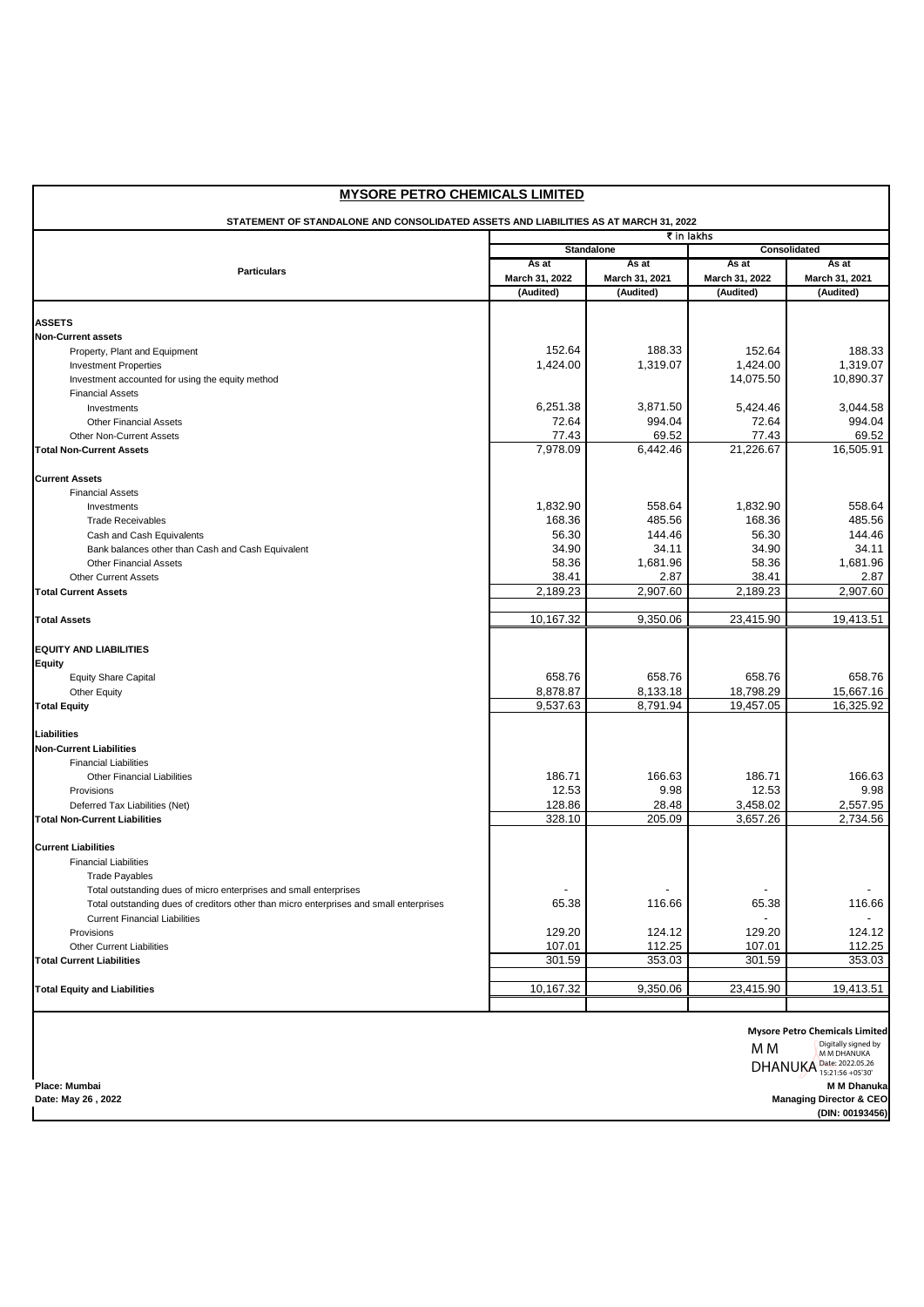| <b>Standalone</b><br>Consolidated<br>As at<br>As at<br>As at<br><b>Particulars</b><br>March 31, 2022<br>March 31, 2022<br>March 31, 2021<br>(Audited)<br>(Audited)<br>(Audited)<br>152.64<br>188.33<br>152.64<br>Property, Plant and Equipment<br>1,424.00<br>1,319.07<br>1,424.00<br><b>Investment Properties</b><br>14,075.50<br>Investment accounted for using the equity method<br><b>Financial Assets</b><br>6,251.38<br>3,871.50<br>5,424.46<br>Investments<br>72.64<br>994.04<br>72.64<br><b>Other Financial Assets</b><br>77.43<br>69.52<br>77.43<br>Other Non-Current Assets<br>7,978.09<br>6,442.46<br>21,226.67<br><b>Financial Assets</b><br>1,832.90<br>558.64<br>1,832.90<br>Investments<br>168.36<br>485.56<br>168.36<br><b>Trade Receivables</b><br>56.30<br>144.46<br>56.30<br>Cash and Cash Equivalents<br>34.90<br>34.11<br>34.90<br>Bank balances other than Cash and Cash Equivalent<br>58.36<br>58.36<br>1,681.96<br><b>Other Financial Assets</b><br>38.41<br>2.87<br>38.41<br><b>Other Current Assets</b><br>2,189.23<br>2,907.60<br>2,189.23<br>23,415.90<br>10,167.32<br>9,350.06<br>658.76<br>658.76<br>658.76<br><b>Equity Share Capital</b><br>8,878.87<br>8,133.18<br>18,798.29<br><b>Other Equity</b><br>9,537.63<br>8,791.94<br>19,457.05<br><b>Financial Liabilities</b><br>186.71<br>166.63<br>186.71<br><b>Other Financial Liabilities</b><br>12.53<br>9.98<br>12.53<br>Provisions<br>128.86<br>28.48<br>3,458.02<br>Deferred Tax Liabilities (Net)<br>328.10<br>205.09<br>3,657.26<br><b>Financial Liabilities</b><br><b>Trade Payables</b><br>Total outstanding dues of micro enterprises and small enterprises<br>65.38<br>116.66<br>65.38<br>Total outstanding dues of creditors other than micro enterprises and small enterprises<br><b>Current Financial Liabilities</b> | As at<br>March 31, 2021<br>(Audited) |  |  |  |  |  |  |  |  |
|--------------------------------------------------------------------------------------------------------------------------------------------------------------------------------------------------------------------------------------------------------------------------------------------------------------------------------------------------------------------------------------------------------------------------------------------------------------------------------------------------------------------------------------------------------------------------------------------------------------------------------------------------------------------------------------------------------------------------------------------------------------------------------------------------------------------------------------------------------------------------------------------------------------------------------------------------------------------------------------------------------------------------------------------------------------------------------------------------------------------------------------------------------------------------------------------------------------------------------------------------------------------------------------------------------------------------------------------------------------------------------------------------------------------------------------------------------------------------------------------------------------------------------------------------------------------------------------------------------------------------------------------------------------------------------------------------------------------------------------------------------------------------------------------------------------------|--------------------------------------|--|--|--|--|--|--|--|--|
| <b>ASSETS</b><br><b>Non-Current assets</b><br><b>Total Non-Current Assets</b>                                                                                                                                                                                                                                                                                                                                                                                                                                                                                                                                                                                                                                                                                                                                                                                                                                                                                                                                                                                                                                                                                                                                                                                                                                                                                                                                                                                                                                                                                                                                                                                                                                                                                                                                      |                                      |  |  |  |  |  |  |  |  |
|                                                                                                                                                                                                                                                                                                                                                                                                                                                                                                                                                                                                                                                                                                                                                                                                                                                                                                                                                                                                                                                                                                                                                                                                                                                                                                                                                                                                                                                                                                                                                                                                                                                                                                                                                                                                                    |                                      |  |  |  |  |  |  |  |  |
|                                                                                                                                                                                                                                                                                                                                                                                                                                                                                                                                                                                                                                                                                                                                                                                                                                                                                                                                                                                                                                                                                                                                                                                                                                                                                                                                                                                                                                                                                                                                                                                                                                                                                                                                                                                                                    |                                      |  |  |  |  |  |  |  |  |
|                                                                                                                                                                                                                                                                                                                                                                                                                                                                                                                                                                                                                                                                                                                                                                                                                                                                                                                                                                                                                                                                                                                                                                                                                                                                                                                                                                                                                                                                                                                                                                                                                                                                                                                                                                                                                    |                                      |  |  |  |  |  |  |  |  |
|                                                                                                                                                                                                                                                                                                                                                                                                                                                                                                                                                                                                                                                                                                                                                                                                                                                                                                                                                                                                                                                                                                                                                                                                                                                                                                                                                                                                                                                                                                                                                                                                                                                                                                                                                                                                                    |                                      |  |  |  |  |  |  |  |  |
|                                                                                                                                                                                                                                                                                                                                                                                                                                                                                                                                                                                                                                                                                                                                                                                                                                                                                                                                                                                                                                                                                                                                                                                                                                                                                                                                                                                                                                                                                                                                                                                                                                                                                                                                                                                                                    |                                      |  |  |  |  |  |  |  |  |
|                                                                                                                                                                                                                                                                                                                                                                                                                                                                                                                                                                                                                                                                                                                                                                                                                                                                                                                                                                                                                                                                                                                                                                                                                                                                                                                                                                                                                                                                                                                                                                                                                                                                                                                                                                                                                    | 188.33                               |  |  |  |  |  |  |  |  |
|                                                                                                                                                                                                                                                                                                                                                                                                                                                                                                                                                                                                                                                                                                                                                                                                                                                                                                                                                                                                                                                                                                                                                                                                                                                                                                                                                                                                                                                                                                                                                                                                                                                                                                                                                                                                                    | 1,319.07                             |  |  |  |  |  |  |  |  |
|                                                                                                                                                                                                                                                                                                                                                                                                                                                                                                                                                                                                                                                                                                                                                                                                                                                                                                                                                                                                                                                                                                                                                                                                                                                                                                                                                                                                                                                                                                                                                                                                                                                                                                                                                                                                                    | 10,890.37                            |  |  |  |  |  |  |  |  |
|                                                                                                                                                                                                                                                                                                                                                                                                                                                                                                                                                                                                                                                                                                                                                                                                                                                                                                                                                                                                                                                                                                                                                                                                                                                                                                                                                                                                                                                                                                                                                                                                                                                                                                                                                                                                                    |                                      |  |  |  |  |  |  |  |  |
|                                                                                                                                                                                                                                                                                                                                                                                                                                                                                                                                                                                                                                                                                                                                                                                                                                                                                                                                                                                                                                                                                                                                                                                                                                                                                                                                                                                                                                                                                                                                                                                                                                                                                                                                                                                                                    | 3,044.58                             |  |  |  |  |  |  |  |  |
|                                                                                                                                                                                                                                                                                                                                                                                                                                                                                                                                                                                                                                                                                                                                                                                                                                                                                                                                                                                                                                                                                                                                                                                                                                                                                                                                                                                                                                                                                                                                                                                                                                                                                                                                                                                                                    | 994.04                               |  |  |  |  |  |  |  |  |
|                                                                                                                                                                                                                                                                                                                                                                                                                                                                                                                                                                                                                                                                                                                                                                                                                                                                                                                                                                                                                                                                                                                                                                                                                                                                                                                                                                                                                                                                                                                                                                                                                                                                                                                                                                                                                    | 69.52                                |  |  |  |  |  |  |  |  |
| <b>Current Assets</b>                                                                                                                                                                                                                                                                                                                                                                                                                                                                                                                                                                                                                                                                                                                                                                                                                                                                                                                                                                                                                                                                                                                                                                                                                                                                                                                                                                                                                                                                                                                                                                                                                                                                                                                                                                                              | 16,505.91                            |  |  |  |  |  |  |  |  |
|                                                                                                                                                                                                                                                                                                                                                                                                                                                                                                                                                                                                                                                                                                                                                                                                                                                                                                                                                                                                                                                                                                                                                                                                                                                                                                                                                                                                                                                                                                                                                                                                                                                                                                                                                                                                                    |                                      |  |  |  |  |  |  |  |  |
|                                                                                                                                                                                                                                                                                                                                                                                                                                                                                                                                                                                                                                                                                                                                                                                                                                                                                                                                                                                                                                                                                                                                                                                                                                                                                                                                                                                                                                                                                                                                                                                                                                                                                                                                                                                                                    |                                      |  |  |  |  |  |  |  |  |
| <b>Total Current Assets</b>                                                                                                                                                                                                                                                                                                                                                                                                                                                                                                                                                                                                                                                                                                                                                                                                                                                                                                                                                                                                                                                                                                                                                                                                                                                                                                                                                                                                                                                                                                                                                                                                                                                                                                                                                                                        | 558.64                               |  |  |  |  |  |  |  |  |
|                                                                                                                                                                                                                                                                                                                                                                                                                                                                                                                                                                                                                                                                                                                                                                                                                                                                                                                                                                                                                                                                                                                                                                                                                                                                                                                                                                                                                                                                                                                                                                                                                                                                                                                                                                                                                    | 485.56                               |  |  |  |  |  |  |  |  |
|                                                                                                                                                                                                                                                                                                                                                                                                                                                                                                                                                                                                                                                                                                                                                                                                                                                                                                                                                                                                                                                                                                                                                                                                                                                                                                                                                                                                                                                                                                                                                                                                                                                                                                                                                                                                                    | 144.46                               |  |  |  |  |  |  |  |  |
|                                                                                                                                                                                                                                                                                                                                                                                                                                                                                                                                                                                                                                                                                                                                                                                                                                                                                                                                                                                                                                                                                                                                                                                                                                                                                                                                                                                                                                                                                                                                                                                                                                                                                                                                                                                                                    | 34.11                                |  |  |  |  |  |  |  |  |
|                                                                                                                                                                                                                                                                                                                                                                                                                                                                                                                                                                                                                                                                                                                                                                                                                                                                                                                                                                                                                                                                                                                                                                                                                                                                                                                                                                                                                                                                                                                                                                                                                                                                                                                                                                                                                    | 1,681.96                             |  |  |  |  |  |  |  |  |
|                                                                                                                                                                                                                                                                                                                                                                                                                                                                                                                                                                                                                                                                                                                                                                                                                                                                                                                                                                                                                                                                                                                                                                                                                                                                                                                                                                                                                                                                                                                                                                                                                                                                                                                                                                                                                    | 2.87                                 |  |  |  |  |  |  |  |  |
| <b>Total Assets</b><br><b>EQUITY AND LIABILITIES</b><br><b>Equity</b><br><b>Total Equity</b><br><b>Liabilities</b><br><b>Non-Current Liabilities</b><br><b>Total Non-Current Liabilities</b><br><b>Current Liabilities</b>                                                                                                                                                                                                                                                                                                                                                                                                                                                                                                                                                                                                                                                                                                                                                                                                                                                                                                                                                                                                                                                                                                                                                                                                                                                                                                                                                                                                                                                                                                                                                                                         | 2,907.60                             |  |  |  |  |  |  |  |  |
|                                                                                                                                                                                                                                                                                                                                                                                                                                                                                                                                                                                                                                                                                                                                                                                                                                                                                                                                                                                                                                                                                                                                                                                                                                                                                                                                                                                                                                                                                                                                                                                                                                                                                                                                                                                                                    |                                      |  |  |  |  |  |  |  |  |
|                                                                                                                                                                                                                                                                                                                                                                                                                                                                                                                                                                                                                                                                                                                                                                                                                                                                                                                                                                                                                                                                                                                                                                                                                                                                                                                                                                                                                                                                                                                                                                                                                                                                                                                                                                                                                    | 19,413.51                            |  |  |  |  |  |  |  |  |
|                                                                                                                                                                                                                                                                                                                                                                                                                                                                                                                                                                                                                                                                                                                                                                                                                                                                                                                                                                                                                                                                                                                                                                                                                                                                                                                                                                                                                                                                                                                                                                                                                                                                                                                                                                                                                    |                                      |  |  |  |  |  |  |  |  |
|                                                                                                                                                                                                                                                                                                                                                                                                                                                                                                                                                                                                                                                                                                                                                                                                                                                                                                                                                                                                                                                                                                                                                                                                                                                                                                                                                                                                                                                                                                                                                                                                                                                                                                                                                                                                                    |                                      |  |  |  |  |  |  |  |  |
|                                                                                                                                                                                                                                                                                                                                                                                                                                                                                                                                                                                                                                                                                                                                                                                                                                                                                                                                                                                                                                                                                                                                                                                                                                                                                                                                                                                                                                                                                                                                                                                                                                                                                                                                                                                                                    | 658.76                               |  |  |  |  |  |  |  |  |
|                                                                                                                                                                                                                                                                                                                                                                                                                                                                                                                                                                                                                                                                                                                                                                                                                                                                                                                                                                                                                                                                                                                                                                                                                                                                                                                                                                                                                                                                                                                                                                                                                                                                                                                                                                                                                    | 15,667.16                            |  |  |  |  |  |  |  |  |
|                                                                                                                                                                                                                                                                                                                                                                                                                                                                                                                                                                                                                                                                                                                                                                                                                                                                                                                                                                                                                                                                                                                                                                                                                                                                                                                                                                                                                                                                                                                                                                                                                                                                                                                                                                                                                    | 16,325.92                            |  |  |  |  |  |  |  |  |
|                                                                                                                                                                                                                                                                                                                                                                                                                                                                                                                                                                                                                                                                                                                                                                                                                                                                                                                                                                                                                                                                                                                                                                                                                                                                                                                                                                                                                                                                                                                                                                                                                                                                                                                                                                                                                    |                                      |  |  |  |  |  |  |  |  |
|                                                                                                                                                                                                                                                                                                                                                                                                                                                                                                                                                                                                                                                                                                                                                                                                                                                                                                                                                                                                                                                                                                                                                                                                                                                                                                                                                                                                                                                                                                                                                                                                                                                                                                                                                                                                                    |                                      |  |  |  |  |  |  |  |  |
|                                                                                                                                                                                                                                                                                                                                                                                                                                                                                                                                                                                                                                                                                                                                                                                                                                                                                                                                                                                                                                                                                                                                                                                                                                                                                                                                                                                                                                                                                                                                                                                                                                                                                                                                                                                                                    |                                      |  |  |  |  |  |  |  |  |
|                                                                                                                                                                                                                                                                                                                                                                                                                                                                                                                                                                                                                                                                                                                                                                                                                                                                                                                                                                                                                                                                                                                                                                                                                                                                                                                                                                                                                                                                                                                                                                                                                                                                                                                                                                                                                    | 166.63                               |  |  |  |  |  |  |  |  |
|                                                                                                                                                                                                                                                                                                                                                                                                                                                                                                                                                                                                                                                                                                                                                                                                                                                                                                                                                                                                                                                                                                                                                                                                                                                                                                                                                                                                                                                                                                                                                                                                                                                                                                                                                                                                                    | 9.98                                 |  |  |  |  |  |  |  |  |
|                                                                                                                                                                                                                                                                                                                                                                                                                                                                                                                                                                                                                                                                                                                                                                                                                                                                                                                                                                                                                                                                                                                                                                                                                                                                                                                                                                                                                                                                                                                                                                                                                                                                                                                                                                                                                    | 2,557.95                             |  |  |  |  |  |  |  |  |
|                                                                                                                                                                                                                                                                                                                                                                                                                                                                                                                                                                                                                                                                                                                                                                                                                                                                                                                                                                                                                                                                                                                                                                                                                                                                                                                                                                                                                                                                                                                                                                                                                                                                                                                                                                                                                    | 2,734.56                             |  |  |  |  |  |  |  |  |
|                                                                                                                                                                                                                                                                                                                                                                                                                                                                                                                                                                                                                                                                                                                                                                                                                                                                                                                                                                                                                                                                                                                                                                                                                                                                                                                                                                                                                                                                                                                                                                                                                                                                                                                                                                                                                    |                                      |  |  |  |  |  |  |  |  |
|                                                                                                                                                                                                                                                                                                                                                                                                                                                                                                                                                                                                                                                                                                                                                                                                                                                                                                                                                                                                                                                                                                                                                                                                                                                                                                                                                                                                                                                                                                                                                                                                                                                                                                                                                                                                                    |                                      |  |  |  |  |  |  |  |  |
|                                                                                                                                                                                                                                                                                                                                                                                                                                                                                                                                                                                                                                                                                                                                                                                                                                                                                                                                                                                                                                                                                                                                                                                                                                                                                                                                                                                                                                                                                                                                                                                                                                                                                                                                                                                                                    |                                      |  |  |  |  |  |  |  |  |
|                                                                                                                                                                                                                                                                                                                                                                                                                                                                                                                                                                                                                                                                                                                                                                                                                                                                                                                                                                                                                                                                                                                                                                                                                                                                                                                                                                                                                                                                                                                                                                                                                                                                                                                                                                                                                    |                                      |  |  |  |  |  |  |  |  |
|                                                                                                                                                                                                                                                                                                                                                                                                                                                                                                                                                                                                                                                                                                                                                                                                                                                                                                                                                                                                                                                                                                                                                                                                                                                                                                                                                                                                                                                                                                                                                                                                                                                                                                                                                                                                                    | 116.66                               |  |  |  |  |  |  |  |  |
|                                                                                                                                                                                                                                                                                                                                                                                                                                                                                                                                                                                                                                                                                                                                                                                                                                                                                                                                                                                                                                                                                                                                                                                                                                                                                                                                                                                                                                                                                                                                                                                                                                                                                                                                                                                                                    |                                      |  |  |  |  |  |  |  |  |
| 129.20<br>124.12<br>129.20<br>Provisions                                                                                                                                                                                                                                                                                                                                                                                                                                                                                                                                                                                                                                                                                                                                                                                                                                                                                                                                                                                                                                                                                                                                                                                                                                                                                                                                                                                                                                                                                                                                                                                                                                                                                                                                                                           | 124.12                               |  |  |  |  |  |  |  |  |
| 107.01<br>112.25<br>107.01<br><b>Other Current Liabilities</b>                                                                                                                                                                                                                                                                                                                                                                                                                                                                                                                                                                                                                                                                                                                                                                                                                                                                                                                                                                                                                                                                                                                                                                                                                                                                                                                                                                                                                                                                                                                                                                                                                                                                                                                                                     | 112.25                               |  |  |  |  |  |  |  |  |
| 301.59<br>353.03<br>301.59<br><b>Total Current Liabilities</b>                                                                                                                                                                                                                                                                                                                                                                                                                                                                                                                                                                                                                                                                                                                                                                                                                                                                                                                                                                                                                                                                                                                                                                                                                                                                                                                                                                                                                                                                                                                                                                                                                                                                                                                                                     | 353.03                               |  |  |  |  |  |  |  |  |
| 23,415.90<br>10,167.32<br>9,350.06<br><b>Total Equity and Liabilities</b>                                                                                                                                                                                                                                                                                                                                                                                                                                                                                                                                                                                                                                                                                                                                                                                                                                                                                                                                                                                                                                                                                                                                                                                                                                                                                                                                                                                                                                                                                                                                                                                                                                                                                                                                          | 19,413.51                            |  |  |  |  |  |  |  |  |
|                                                                                                                                                                                                                                                                                                                                                                                                                                                                                                                                                                                                                                                                                                                                                                                                                                                                                                                                                                                                                                                                                                                                                                                                                                                                                                                                                                                                                                                                                                                                                                                                                                                                                                                                                                                                                    |                                      |  |  |  |  |  |  |  |  |
|                                                                                                                                                                                                                                                                                                                                                                                                                                                                                                                                                                                                                                                                                                                                                                                                                                                                                                                                                                                                                                                                                                                                                                                                                                                                                                                                                                                                                                                                                                                                                                                                                                                                                                                                                                                                                    |                                      |  |  |  |  |  |  |  |  |
| <b>Mysore Petro Chemicals Limited</b><br>Digitally signed by                                                                                                                                                                                                                                                                                                                                                                                                                                                                                                                                                                                                                                                                                                                                                                                                                                                                                                                                                                                                                                                                                                                                                                                                                                                                                                                                                                                                                                                                                                                                                                                                                                                                                                                                                       |                                      |  |  |  |  |  |  |  |  |
| M <sub>M</sub>                                                                                                                                                                                                                                                                                                                                                                                                                                                                                                                                                                                                                                                                                                                                                                                                                                                                                                                                                                                                                                                                                                                                                                                                                                                                                                                                                                                                                                                                                                                                                                                                                                                                                                                                                                                                     | M M DHANUKA                          |  |  |  |  |  |  |  |  |
| <b>DHANUKA</b>                                                                                                                                                                                                                                                                                                                                                                                                                                                                                                                                                                                                                                                                                                                                                                                                                                                                                                                                                                                                                                                                                                                                                                                                                                                                                                                                                                                                                                                                                                                                                                                                                                                                                                                                                                                                     | Date: 2022.05.26<br>15:21:56 +05'30' |  |  |  |  |  |  |  |  |

**Date: May 26 , 2022 Managing Director & CEO (DIN: 00193456)**

**Date: May 26, 2022**